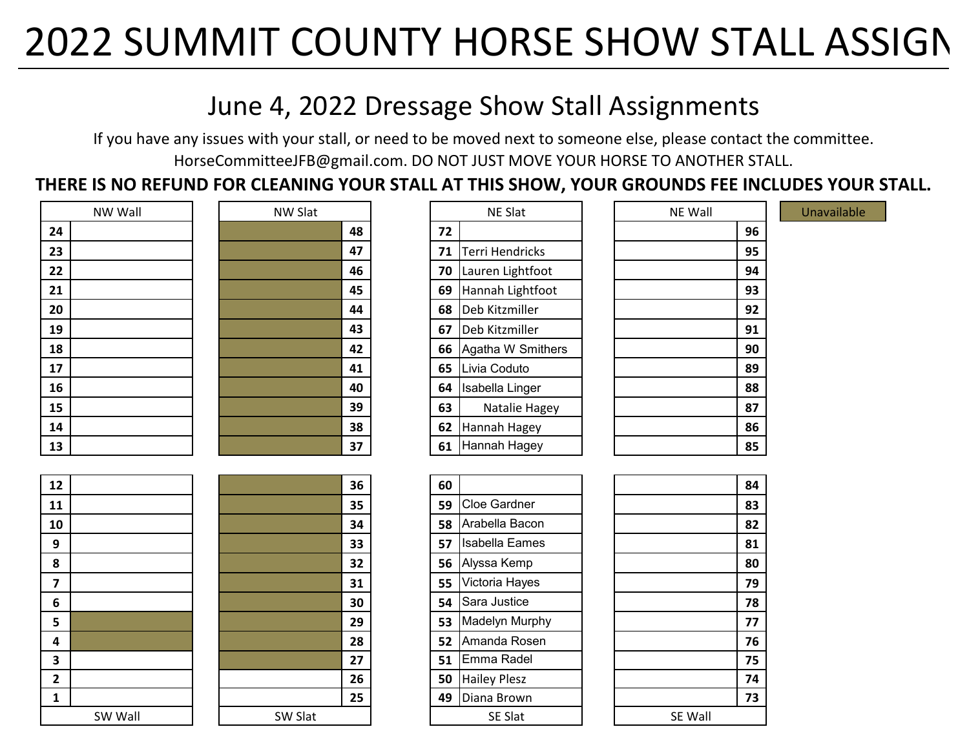# 2022 SUMMIT COUNTY HORSE SHOW STALL ASSIGN

### June 4, 2022 Dressage Show Stall Assignments

If you have any issues with your stall, or need to be moved next to someone else, please contact the committee. HorseCommitteeJFB@gmail.com. DO NOT JUST MOVE YOUR HORSE TO ANOTHER STALL.

**THERE IS NO REFUND FOR CLEANING YOUR STALL AT THIS SHOW, YOUR GROUNDS FEE INCLUDES YOUR STALL.** 

| NW Wall | <b>NW Slat</b> | <b>NE Slat</b>               | NE Wall |
|---------|----------------|------------------------------|---------|
| 24      | 48             | 72                           | 96      |
| 23      | 47             | <b>Terri Hendricks</b><br>71 | 95      |
| 22      | 46             | Lauren Lightfoot<br>70       | 94      |
| 21      | 45             | Hannah Lightfoot<br>69       | 93      |
| 20      | 44             | Deb Kitzmiller<br>68         | 92      |
| 19      | 43             | 67<br>Deb Kitzmiller         | 91      |
| 18      | 42             | Agatha W Smithers<br>66      | 90      |
| 17      | 41             | Livia Coduto<br>65           | 89      |
| 16      | 40             | Isabella Linger<br>64        | 88      |
| 15      | 39             | Natalie Hagey<br>63          | 87      |
| 14      | 38             | Hannah Hagey<br>62           | 86      |
| 13      | 37             | Hannah Hagey<br>61           | 85      |

|    | <b>NW Wall</b> | NW Slat |    | NE Slat |                   |  | NE Wall |    | Unavailable |
|----|----------------|---------|----|---------|-------------------|--|---------|----|-------------|
| 24 |                |         | 48 | 72      |                   |  |         | 96 |             |
| 23 |                |         | 47 | 71      | Terri Hendricks   |  |         | 95 |             |
| 22 |                |         | 46 | 70      | Lauren Lightfoot  |  |         | 94 |             |
| 21 |                |         | 45 | 69      | Hannah Lightfoot  |  |         | 93 |             |
| 20 |                |         | 44 | 68      | Deb Kitzmiller    |  |         | 92 |             |
| 19 |                |         | 43 | 67      | Deb Kitzmiller    |  |         | 91 |             |
| 18 |                |         | 42 | 66      | Agatha W Smithers |  |         | 90 |             |
| 17 |                |         | 41 | 65      | Livia Coduto      |  |         | 89 |             |
| 16 |                |         | 40 | 64      | Isabella Linger   |  |         | 88 |             |
| 15 |                |         | 39 | 63      | Natalie Hagey     |  |         | 87 |             |
| 14 |                |         | 38 | 62      | Hannah Hagey      |  |         | 86 |             |
| 13 |                |         | 37 | 61      | Hannah Hagey      |  |         | 85 |             |

|    | <b>NE Slat</b>           |  |  |  |  |  |  |  |
|----|--------------------------|--|--|--|--|--|--|--|
| 72 |                          |  |  |  |  |  |  |  |
| 71 | Terri Hendricks          |  |  |  |  |  |  |  |
| 70 | Lauren Lightfoot         |  |  |  |  |  |  |  |
| 69 | Hannah Lightfoot         |  |  |  |  |  |  |  |
| 68 | Deb Kitzmiller           |  |  |  |  |  |  |  |
| 67 | Deb Kitzmiller           |  |  |  |  |  |  |  |
| 66 | <b>Agatha W Smithers</b> |  |  |  |  |  |  |  |
| 65 | Livia Coduto             |  |  |  |  |  |  |  |
| 64 | Isabella Linger          |  |  |  |  |  |  |  |
| 63 | Natalie Hagey            |  |  |  |  |  |  |  |
| 62 | Hannah Hagey             |  |  |  |  |  |  |  |
| 61 | Hannah Hagey             |  |  |  |  |  |  |  |

|         |         | 36 | 60 |                     |  |         |
|---------|---------|----|----|---------------------|--|---------|
|         |         | 35 | 59 | Cloe Gardner        |  |         |
|         |         | 34 | 58 | Arabella Bacon      |  |         |
|         |         | 33 | 57 | Isabella Eames      |  |         |
|         |         | 32 | 56 | Alyssa Kemp         |  |         |
|         |         | 31 | 55 | Victoria Hayes      |  |         |
|         |         | 30 | 54 | Sara Justice        |  |         |
|         |         | 29 | 53 | Madelyn Murphy      |  |         |
|         |         | 28 | 52 | Amanda Rosen        |  |         |
|         |         | 27 | 51 | Emma Radel          |  |         |
|         |         | 26 | 50 | <b>Hailey Plesz</b> |  |         |
|         |         | 25 | 49 | Diana Brown         |  |         |
| SW Wall | SW Slat |    |    | SE Slat             |  | SE Wall |
|         |         |    |    |                     |  |         |

| <b>NE Wall</b> |    |
|----------------|----|
|                | 96 |
|                | 95 |
|                | 94 |
|                | 93 |
|                | 92 |
|                | 91 |
|                | 90 |
|                | 89 |
|                | 88 |
|                | 87 |
|                | 86 |
|                | 85 |
|                |    |

|         | 84 |
|---------|----|
|         | 83 |
|         | 82 |
|         | 81 |
|         | 80 |
|         | 79 |
|         | 78 |
|         | 77 |
|         | 76 |
|         | 75 |
|         | 74 |
|         | 73 |
| SE Wall |    |



|                  | 3                       |
|------------------|-------------------------|
|                  | 3                       |
|                  | 3                       |
|                  | 3                       |
|                  | 3                       |
|                  | $\overline{\mathbf{3}}$ |
|                  | $\overline{\mathbf{3}}$ |
|                  | $\overline{2}$          |
|                  | $\overline{2}$          |
|                  | $\overline{\mathbf{c}}$ |
|                  | $\overline{2}$          |
|                  | $\overline{2}$          |
| $C(M)$ $C1_{2}+$ |                         |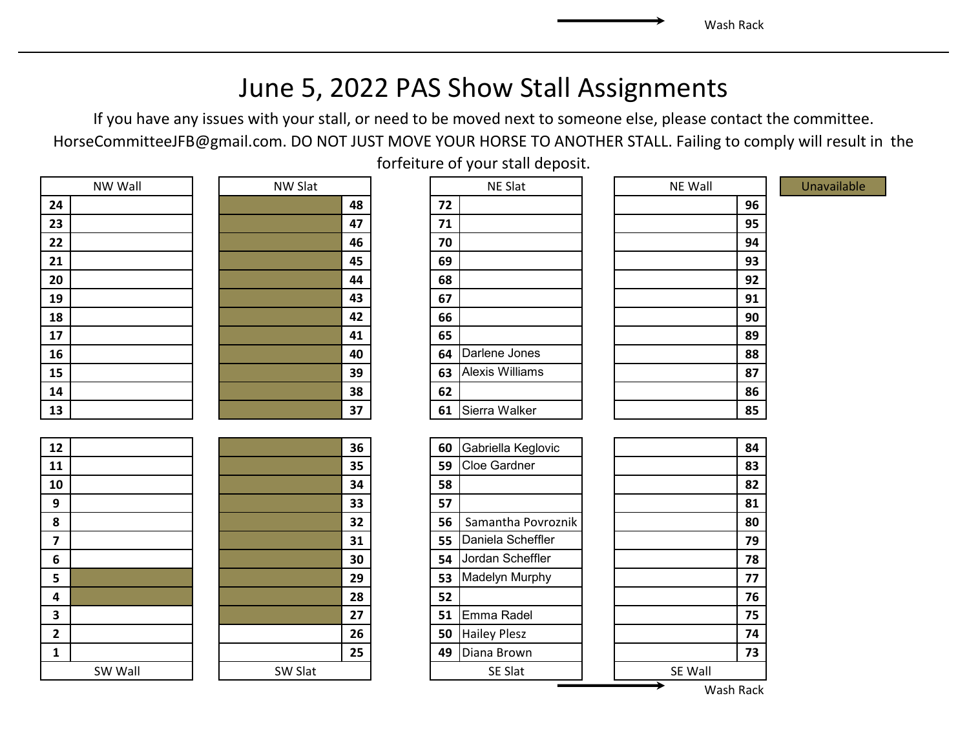### June 5, 2022 PAS Show Stall Assignments

If you have any issues with your stall, or need to be moved next to someone else, please contact the committee. HorseCommitteeJFB@gmail.com. DO NOT JUST MOVE YOUR HORSE TO ANOTHER STALL. Failing to comply will result in the

|    | NW Wall |
|----|---------|
| 24 |         |
| 23 |         |
| 22 |         |
| 21 |         |
| 20 |         |
| 19 |         |
| 18 |         |
| 17 |         |
| 16 |         |
| 15 |         |
| 14 |         |
| 13 |         |

| <b>IVVV VVGII</b> | <b>IVVV</b> JIAL |    |    | <b>IVL JIGL</b> | <b>IVL VVGII</b> |
|-------------------|------------------|----|----|-----------------|------------------|
| 24                |                  | 48 | 72 |                 | 96               |
| 23                |                  | 47 | 71 |                 | 95               |
| 22                |                  | 46 | 70 |                 | 94               |
| 21                |                  | 45 | 69 |                 | 93               |
| 20                |                  | 44 | 68 |                 | 92               |
| 19                |                  | 43 | 67 |                 | 91               |
| 18                |                  | 42 | 66 |                 | 90               |
| 17                |                  | 41 | 65 |                 | 89               |
| 16                |                  | 40 | 64 | Darlene Jones   | 88               |
| 15                |                  | 39 | 63 | Alexis Williams | 87               |
| 14                |                  | 38 | 62 |                 | 86               |
| 13                |                  | 37 | 61 | Sierra Walker   | 85               |

| 12                      |         |         | 36 | 60 | Gabriella Keglovic  |         | 84 |
|-------------------------|---------|---------|----|----|---------------------|---------|----|
| 11                      |         |         | 35 | 59 | <b>Cloe Gardner</b> |         | 83 |
| 10                      |         |         | 34 | 58 |                     |         | 82 |
| 9                       |         |         | 33 | 57 |                     |         | 81 |
| 8                       |         |         | 32 | 56 | Samantha Povroznik  |         | 80 |
| 7                       |         |         | 31 | 55 | Daniela Scheffler   |         | 79 |
| 6                       |         |         | 30 | 54 | Jordan Scheffler    |         | 78 |
| 5                       |         |         | 29 | 53 | Madelyn Murphy      |         | 77 |
| 4                       |         |         | 28 | 52 |                     |         | 76 |
| $\overline{\mathbf{3}}$ |         |         | 27 | 51 | Emma Radel          |         | 75 |
| $\overline{\mathbf{c}}$ |         |         | 26 | 50 | <b>Hailey Plesz</b> |         | 74 |
| $\mathbf{1}$            |         |         | 25 | 49 | Diana Brown         |         | 73 |
|                         | SW Wall | SW Slat |    |    | SE Slat             | SE Wall |    |

forfeiture of your stall deposit.

|    | NE Slat                |  |  |  |  |  |
|----|------------------------|--|--|--|--|--|
| 72 |                        |  |  |  |  |  |
| 71 |                        |  |  |  |  |  |
| 70 |                        |  |  |  |  |  |
| 69 |                        |  |  |  |  |  |
| 68 |                        |  |  |  |  |  |
| 67 |                        |  |  |  |  |  |
| 66 |                        |  |  |  |  |  |
| 65 |                        |  |  |  |  |  |
| 64 | Darlene Jones          |  |  |  |  |  |
| 63 | <b>Alexis Williams</b> |  |  |  |  |  |
| 62 |                        |  |  |  |  |  |
| 61 | Sierra Walker          |  |  |  |  |  |
|    |                        |  |  |  |  |  |

| 60 | Gabriella Keglovic  |  |  |  |  |  |  |
|----|---------------------|--|--|--|--|--|--|
| 59 | <b>Cloe Gardner</b> |  |  |  |  |  |  |
| 58 |                     |  |  |  |  |  |  |
| 57 |                     |  |  |  |  |  |  |
| 56 | Samantha Povroznik  |  |  |  |  |  |  |
| 55 | Daniela Scheffler   |  |  |  |  |  |  |
| 54 | Jordan Scheffler    |  |  |  |  |  |  |
| 53 | Madelyn Murphy      |  |  |  |  |  |  |
| 52 |                     |  |  |  |  |  |  |
| 51 | Emma Radel          |  |  |  |  |  |  |
| 50 | <b>Hailey Plesz</b> |  |  |  |  |  |  |
| 49 | Diana Brown         |  |  |  |  |  |  |
|    | <b>SE Slat</b>      |  |  |  |  |  |  |

| NW Wall | NW Slat |    |  | NE Slat |                        |  | NE Wall |    | Unavailable |
|---------|---------|----|--|---------|------------------------|--|---------|----|-------------|
|         |         | 48 |  | 72      |                        |  |         | 96 |             |
|         |         | 47 |  | 71      |                        |  |         | 95 |             |
|         |         | 46 |  | 70      |                        |  |         | 94 |             |
|         |         | 45 |  | 69      |                        |  |         | 93 |             |
|         |         | 44 |  | 68      |                        |  |         | 92 |             |
|         |         | 43 |  | 67      |                        |  |         | 91 |             |
|         |         | 42 |  | 66      |                        |  |         | 90 |             |
|         |         | 41 |  | 65      |                        |  |         | 89 |             |
|         |         | 40 |  | 64      | Darlene Jones          |  |         | 88 |             |
|         |         | 39 |  | 63      | <b>Alexis Williams</b> |  |         | 87 |             |
|         |         | 38 |  | 62      |                        |  |         | 86 |             |
|         |         | 37 |  | 61      | Sierra Walker          |  |         | 85 |             |

|         | 84 |
|---------|----|
|         | 83 |
|         | 82 |
|         | 81 |
|         | 80 |
|         | 79 |
|         | 78 |
|         | 77 |
|         | 76 |
|         | 75 |
|         | 74 |
|         | 73 |
| SE Wall |    |
| ٦<br>٠  |    |

Wash Rack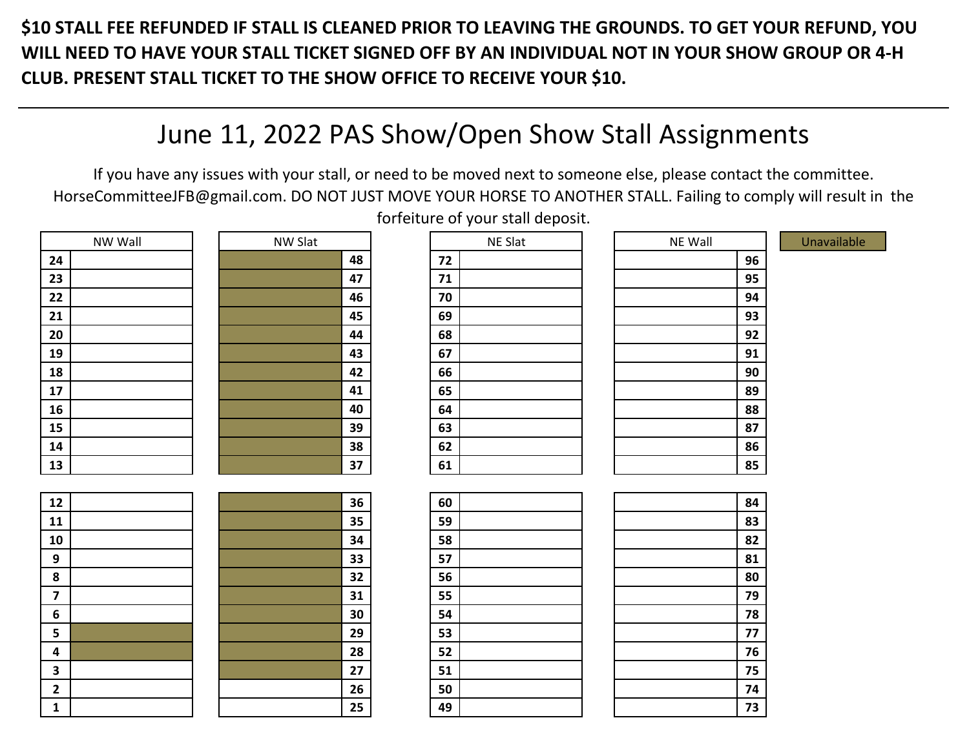**\$10 STALL FEE REFUNDED IF STALL IS CLEANED PRIOR TO LEAVING THE GROUNDS. TO GET YOUR REFUND, YOU WILL NEED TO HAVE YOUR STALL TICKET SIGNED OFF BY AN INDIVIDUAL NOT IN YOUR SHOW GROUP OR 4-H CLUB. PRESENT STALL TICKET TO THE SHOW OFFICE TO RECEIVE YOUR \$10.** 

## June 11, 2022 PAS Show/Open Show Stall Assignments

If you have any issues with your stall, or need to be moved next to someone else, please contact the committee. HorseCommitteeJFB@gmail.com. DO NOT JUST MOVE YOUR HORSE TO ANOTHER STALL. Failing to comply will result in the forfeiture of your stall deposit.

|                         | NW Wall | NW Slat |    | NE Slat | NE Wall | Unavailable |
|-------------------------|---------|---------|----|---------|---------|-------------|
| 24                      |         |         | 48 | 72      | 96      |             |
| 23                      |         |         | 47 | 71      | 95      |             |
| 22                      |         |         | 46 | 70      | 94      |             |
| 21                      |         |         | 45 | 69      | 93      |             |
| 20                      |         |         | 44 | 68      | 92      |             |
| 19                      |         |         | 43 | 67      | 91      |             |
| 18                      |         |         | 42 | 66      | 90      |             |
| 17                      |         |         | 41 | 65      | 89      |             |
| 16                      |         |         | 40 | 64      | 88      |             |
| 15                      |         |         | 39 | 63      | 87      |             |
| 14                      |         |         | 38 | 62      | 86      |             |
| 13                      |         |         | 37 | 61      | 85      |             |
|                         |         |         |    |         |         |             |
| 12                      |         |         | 36 | 60      | 84      |             |
| 11                      |         |         | 35 | 59      | 83      |             |
| 10                      |         |         | 34 | 58      | 82      |             |
| 9                       |         |         | 33 | 57      | 81      |             |
| 8                       |         |         | 32 | 56      | 80      |             |
| $\overline{\mathbf{z}}$ |         |         | 31 | 55      | 79      |             |
| 6                       |         |         | 30 | 54      | 78      |             |
| 5                       |         |         | 29 | 53      | 77      |             |
| 4                       |         |         | 28 | 52      | 76      |             |
| 3                       |         |         | 27 | 51      | 75      |             |
| $\mathbf{2}$            |         |         | 26 | 50      | 74      |             |
| $\mathbf{1}$            |         |         | 25 | 49      | 73      |             |

| NE Wall |    | ι |
|---------|----|---|
|         | 96 |   |
|         | 95 |   |
|         | 94 |   |
|         | 93 |   |
|         | 92 |   |
|         | 91 |   |
|         | 90 |   |
|         | 89 |   |
|         | 88 |   |
|         | 87 |   |
|         | 86 |   |
|         | 85 |   |
|         |    |   |
|         | 84 |   |
|         | 83 |   |
|         | 82 |   |
|         | 81 |   |
|         | 80 |   |
|         | 79 |   |
|         | 78 |   |
|         | 77 |   |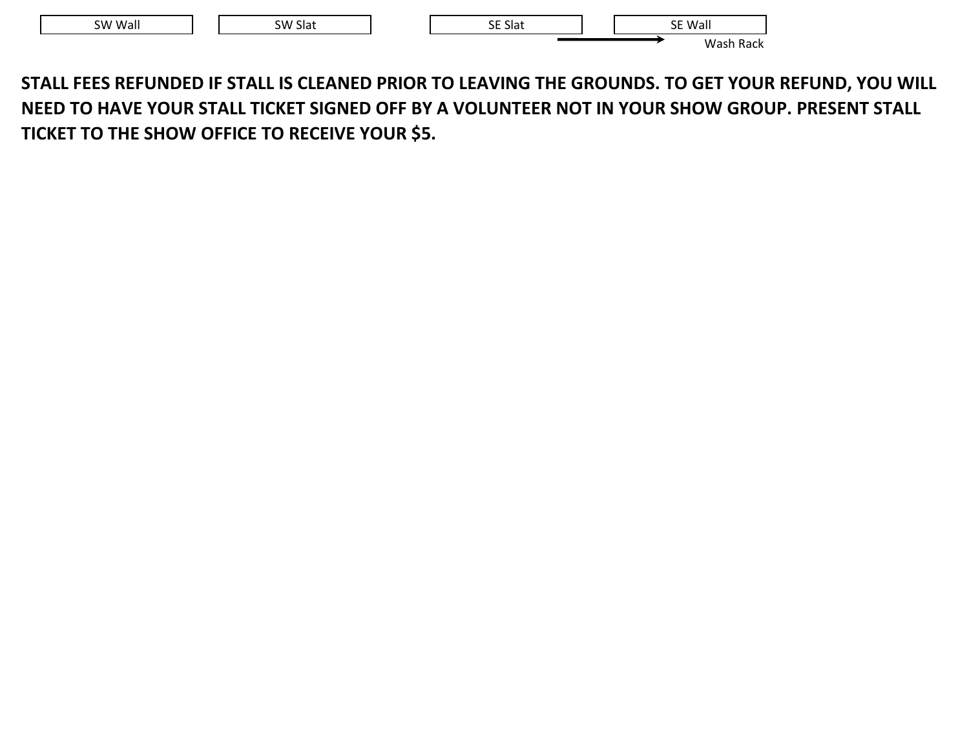| SW Wall | SW Slat |  | <b>SE Slat</b> |  | SE Wall<br>JL                  |  |
|---------|---------|--|----------------|--|--------------------------------|--|
|         |         |  |                |  | Wash<br>Rack<br>. 505 -<br>___ |  |

**STALL FEES REFUNDED IF STALL IS CLEANED PRIOR TO LEAVING THE GROUNDS. TO GET YOUR REFUND, YOU WILL NEED TO HAVE YOUR STALL TICKET SIGNED OFF BY A VOLUNTEER NOT IN YOUR SHOW GROUP. PRESENT STALL TICKET TO THE SHOW OFFICE TO RECEIVE YOUR \$5.**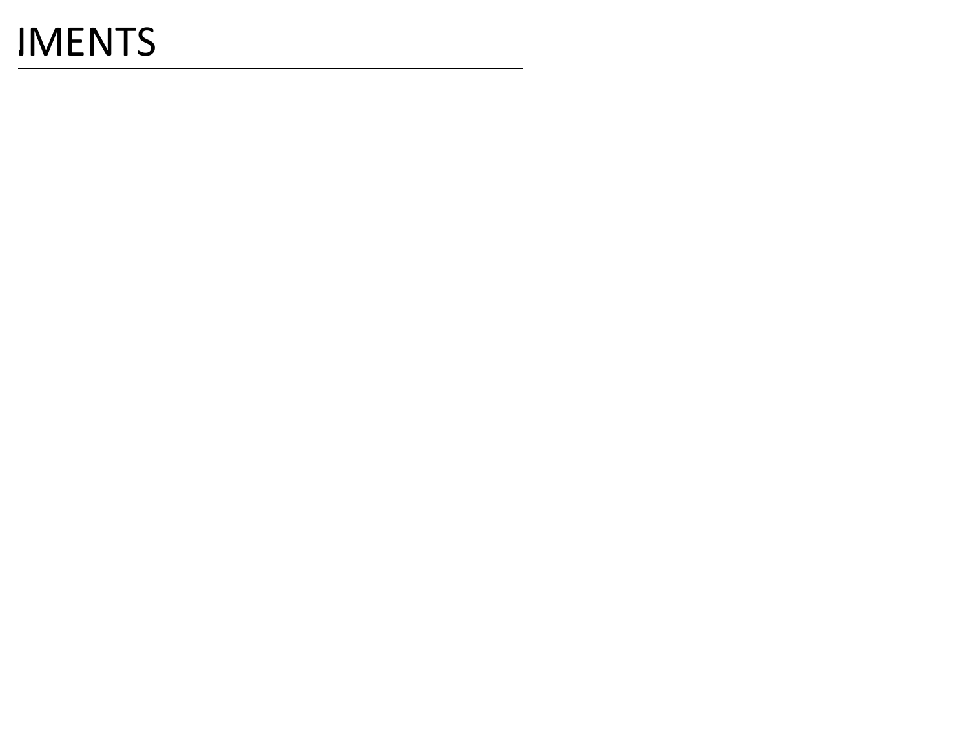# **IMENTS**